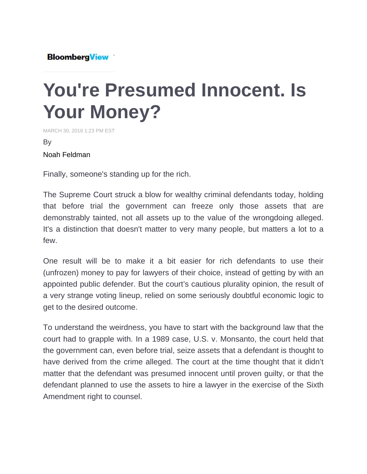## **BloombergView**

## **You're Presumed Innocent. Is Your Money?**

MARCH 30, 2016 1:23 PM EST

**B**<sub>v</sub> Noah Feldman

Finally, someone's standing up for the rich.

The Supreme Court struck a blow for wealthy criminal defendants today, holding that before trial the government can freeze only those assets that are demonstrably tainted, not all assets up to the value of the wrongdoing alleged. It's a distinction that doesn't matter to very many people, but matters a lot to a few.

One result will be to make it a bit easier for rich defendants to use their (unfrozen) money to pay for lawyers of their choice, instead of getting by with an appointed public defender. But the court's cautious plurality opinion, the result of a very strange voting lineup, relied on some seriously doubtful economic logic to get to the desired outcome.

To understand the weirdness, you have to start with the background law that the court had to grapple with. In a 1989 case, U.S. v. Monsanto, the court held that the government can, even before trial, seize assets that a defendant is thought to have derived from the crime alleged. The court at the time thought that it didn't matter that the defendant was presumed innocent until proven guilty, or that the defendant planned to use the assets to hire a lawyer in the exercise of the Sixth Amendment right to counsel.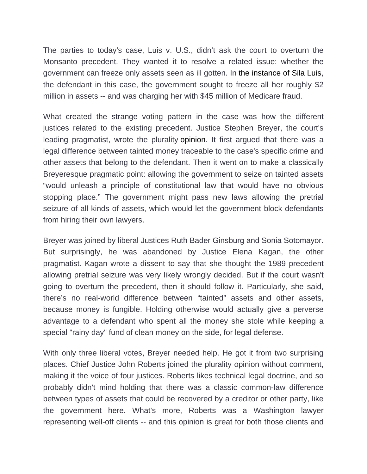The parties to today's case, Luis v. U.S., didn't ask the court to overturn the Monsanto precedent. They wanted it to resolve a related issue: whether the government can freeze only assets seen as ill gotten. In the instance of Sila Luis, the defendant in this case, the government sought to freeze all her roughly \$2 million in assets -- and was charging her with \$45 million of Medicare fraud.

What created the strange voting pattern in the case was how the different justices related to the existing precedent. Justice Stephen Breyer, the court's leading pragmatist, wrote the plurality opinion. It first argued that there was a legal difference between tainted money traceable to the case's specific crime and other assets that belong to the defendant. Then it went on to make a classically Breyeresque pragmatic point: allowing the government to seize on tainted assets "would unleash a principle of constitutional law that would have no obvious stopping place." The government might pass new laws allowing the pretrial seizure of all kinds of assets, which would let the government block defendants from hiring their own lawyers.

Breyer was joined by liberal Justices Ruth Bader Ginsburg and Sonia Sotomayor. But surprisingly, he was abandoned by Justice Elena Kagan, the other pragmatist. Kagan wrote a dissent to say that she thought the 1989 precedent allowing pretrial seizure was very likely wrongly decided. But if the court wasn't going to overturn the precedent, then it should follow it. Particularly, she said, there's no real-world difference between "tainted" assets and other assets, because money is fungible. Holding otherwise would actually give a perverse advantage to a defendant who spent all the money she stole while keeping a special "rainy day" fund of clean money on the side, for legal defense.

With only three liberal votes, Breyer needed help. He got it from two surprising places. Chief Justice John Roberts joined the plurality opinion without comment, making it the voice of four justices. Roberts likes technical legal doctrine, and so probably didn't mind holding that there was a classic common-law difference between types of assets that could be recovered by a creditor or other party, like the government here. What's more, Roberts was a Washington lawyer representing well-off clients -- and this opinion is great for both those clients and